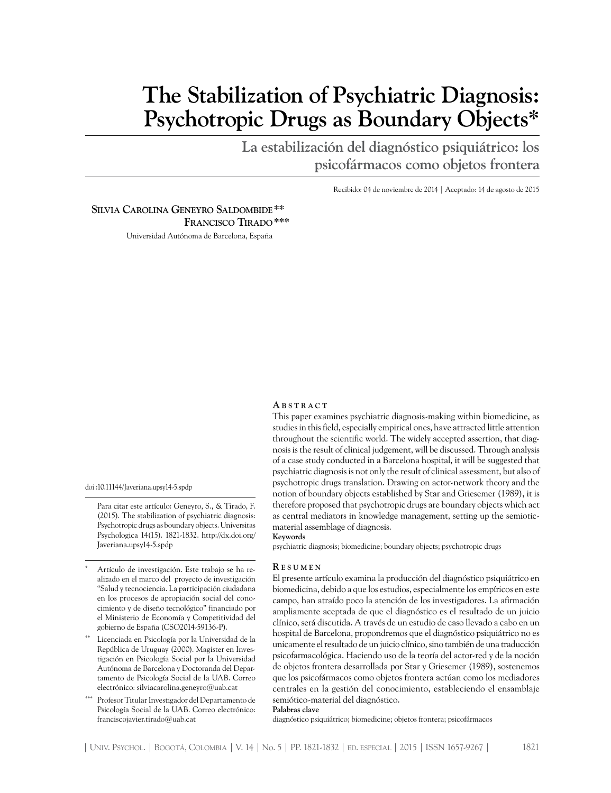# **The Stabilization of Psychiatric Diagnosis: Psychotropic Drugs as Boundary Objects\***

**La estabilización del diagnóstico psiquiátrico: los psicofármacos como objetos frontera**

Recibido: 04 de noviembre de 2014 | Aceptado: 14 de agosto de 2015

**Silvia Carolina Geneyro Saldombide\*\* Francisco Tirado\*\*\***

Universidad Autónoma de Barcelona, España

#### **A b st r a ct**

doi :10.11144/Javeriana.upsy14-5.spdp

Para citar este artículo: Geneyro, S., & Tirado, F. (2015). The stabilization of psychiatric diagnosis: Psychotropic drugs as boundary objects. Universitas Psychologica 14(15). 1821-1832. http://dx.doi.org/ Javeriana.upsy14-5.spdp

Artículo de investigación. Este trabajo se ha realizado en el marco del proyecto de investigación "Salud y tecnociencia. La participación ciudadana en los procesos de apropiación social del conocimiento y de diseño tecnológico" financiado por el Ministerio de Economía y Competitividad del gobierno de España (CSO2014-59136-P).

Licenciada en Psicología por la Universidad de la República de Uruguay (2000). Magister en Investigación en Psicología Social por la Universidad Autónoma de Barcelona y Doctoranda del Departamento de Psicología Social de la UAB. Correo electrónico: silviacarolina.geneyro@uab.cat

Profesor Titular Investigador del Departamento de Psicología Social de la UAB. Correo electrónico: franciscojavier.tirado@uab.cat

This paper examines psychiatric diagnosis-making within biomedicine, as studies in this field, especially empirical ones, have attracted little attention throughout the scientific world. The widely accepted assertion, that diagnosis is the result of clinical judgement, will be discussed. Through analysis of a case study conducted in a Barcelona hospital, it will be suggested that psychiatric diagnosis is not only the result of clinical assessment, but also of psychotropic drugs translation. Drawing on actor-network theory and the notion of boundary objects established by Star and Griesemer (1989), it is therefore proposed that psychotropic drugs are boundary objects which act as central mediators in knowledge management, setting up the semioticmaterial assemblage of diagnosis. **Keywords**

psychiatric diagnosis; biomedicine; boundary objects; psychotropic drugs

#### **R e s u m e n**

El presente artículo examina la producción del diagnóstico psiquiátrico en biomedicina, debido a que los estudios, especialmente los empíricos en este campo, han atraído poco la atención de los investigadores. La afirmación ampliamente aceptada de que el diagnóstico es el resultado de un juicio clínico, será discutida. A través de un estudio de caso llevado a cabo en un hospital de Barcelona, propondremos que el diagnóstico psiquiátrico no es unicamente el resultado de un juicio clínico, sino también de una traducción psicofarmacológica. Haciendo uso de la teoría del actor-red y de la noción de objetos frontera desarrollada por Star y Griesemer (1989), sostenemos que los psicofármacos como objetos frontera actúan como los mediadores centrales en la gestión del conocimiento, estableciendo el ensamblaje semiótico-material del diagnóstico. **Palabras clave**

diagnóstico psiquiátrico; biomedicine; objetos frontera; psicofármacos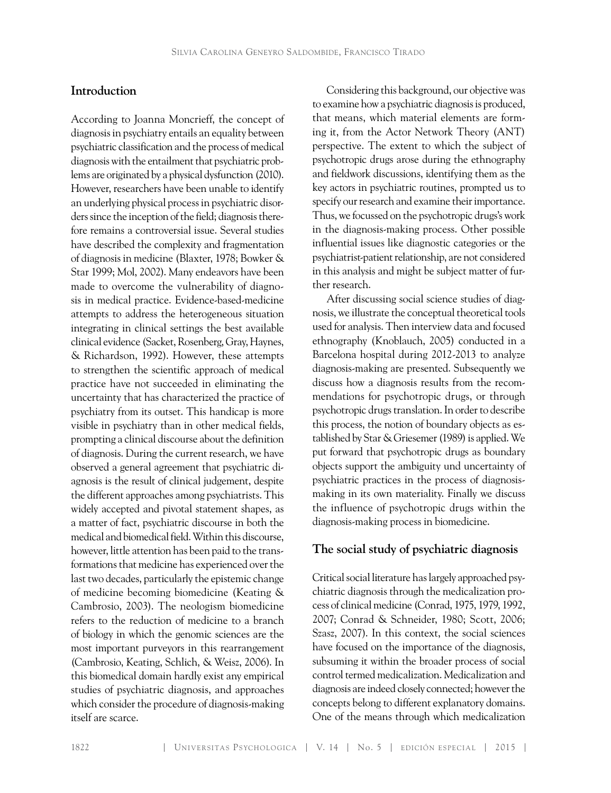# **Introduction**

According to Joanna Moncrieff, the concept of diagnosis in psychiatry entails an equality between psychiatric classification and the process of medical diagnosis with the entailment that psychiatric problems are originated by a physical dysfunction (2010). However, researchers have been unable to identify an underlying physical process in psychiatric disorders since the inception of the field; diagnosis therefore remains a controversial issue. Several studies have described the complexity and fragmentation of diagnosis in medicine (Blaxter, 1978; Bowker & Star 1999; Mol, 2002). Many endeavors have been made to overcome the vulnerability of diagnosis in medical practice. Evidence-based-medicine attempts to address the heterogeneous situation integrating in clinical settings the best available clinical evidence (Sacket, Rosenberg, Gray, Haynes, & Richardson, 1992). However, these attempts to strengthen the scientific approach of medical practice have not succeeded in eliminating the uncertainty that has characterized the practice of psychiatry from its outset. This handicap is more visible in psychiatry than in other medical fields, prompting a clinical discourse about the definition of diagnosis. During the current research, we have observed a general agreement that psychiatric diagnosis is the result of clinical judgement, despite the different approaches among psychiatrists. This widely accepted and pivotal statement shapes, as a matter of fact, psychiatric discourse in both the medical and biomedical field. Within this discourse, however, little attention has been paid to the transformations that medicine has experienced over the last two decades, particularly the epistemic change of medicine becoming biomedicine (Keating & Cambrosio, 2003). The neologism biomedicine refers to the reduction of medicine to a branch of biology in which the genomic sciences are the most important purveyors in this rearrangement (Cambrosio, Keating, Schlich, & Weisz, 2006). In this biomedical domain hardly exist any empirical studies of psychiatric diagnosis, and approaches which consider the procedure of diagnosis-making itself are scarce.

Considering this background, our objective was to examine how a psychiatric diagnosis is produced, that means, which material elements are forming it, from the Actor Network Theory (ANT) perspective. The extent to which the subject of psychotropic drugs arose during the ethnography and fieldwork discussions, identifying them as the key actors in psychiatric routines, prompted us to specify our research and examine their importance. Thus, we focussed on the psychotropic drugs's work in the diagnosis-making process. Other possible influential issues like diagnostic categories or the psychiatrist-patient relationship, are not considered in this analysis and might be subject matter of further research.

After discussing social science studies of diagnosis, we illustrate the conceptual theoretical tools used for analysis. Then interview data and focused ethnography (Knoblauch, 2005) conducted in a Barcelona hospital during 2012-2013 to analyze diagnosis-making are presented. Subsequently we discuss how a diagnosis results from the recommendations for psychotropic drugs, or through psychotropic drugs translation. In order to describe this process, the notion of boundary objects as established by Star & Griesemer (1989) is applied. We put forward that psychotropic drugs as boundary objects support the ambiguity und uncertainty of psychiatric practices in the process of diagnosismaking in its own materiality. Finally we discuss the influence of psychotropic drugs within the diagnosis-making process in biomedicine.

# **The social study of psychiatric diagnosis**

Critical social literature has largely approached psychiatric diagnosis through the medicalization process of clinical medicine (Conrad, 1975, 1979, 1992, 2007; Conrad & Schneider, 1980; Scott, 2006; Szasz, 2007). In this context, the social sciences have focused on the importance of the diagnosis, subsuming it within the broader process of social control termed medicalization. Medicalization and diagnosis are indeed closely connected; however the concepts belong to different explanatory domains. One of the means through which medicalization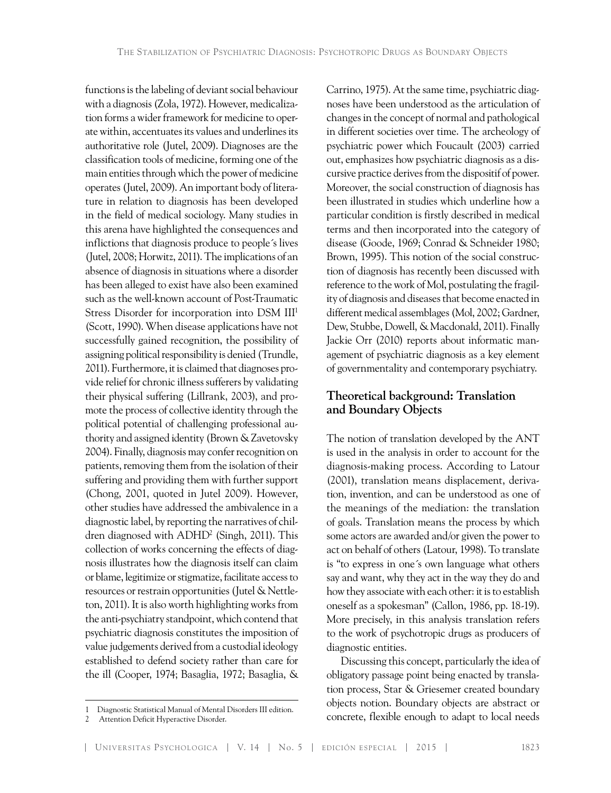functions is the labeling of deviant social behaviour with a diagnosis (Zola, 1972). However, medicalization forms a wider framework for medicine to operate within, accentuates its values and underlines its authoritative role (Jutel, 2009). Diagnoses are the classification tools of medicine, forming one of the main entities through which the power of medicine operates (Jutel, 2009). An important body of literature in relation to diagnosis has been developed in the field of medical sociology. Many studies in this arena have highlighted the consequences and inflictions that diagnosis produce to people´s lives (Jutel, 2008; Horwitz, 2011). The implications of an absence of diagnosis in situations where a disorder has been alleged to exist have also been examined such as the well-known account of Post-Traumatic Stress Disorder for incorporation into DSM III1 (Scott, 1990). When disease applications have not successfully gained recognition, the possibility of assigning political responsibility is denied (Trundle, 2011). Furthermore, it is claimed that diagnoses provide relief for chronic illness sufferers by validating their physical suffering (Lillrank, 2003), and promote the process of collective identity through the political potential of challenging professional authority and assigned identity (Brown & Zavetovsky 2004). Finally, diagnosis may confer recognition on patients, removing them from the isolation of their suffering and providing them with further support (Chong, 2001, quoted in Jutel 2009). However, other studies have addressed the ambivalence in a diagnostic label, by reporting the narratives of children diagnosed with ADHD2 (Singh, 2011). This collection of works concerning the effects of diagnosis illustrates how the diagnosis itself can claim or blame, legitimize or stigmatize, facilitate access to resources or restrain opportunities (Jutel & Nettleton, 2011). It is also worth highlighting works from the anti-psychiatry standpoint, which contend that psychiatric diagnosis constitutes the imposition of value judgements derived from a custodial ideology established to defend society rather than care for the ill (Cooper, 1974; Basaglia, 1972; Basaglia, &

Carrino, 1975). At the same time, psychiatric diagnoses have been understood as the articulation of changes in the concept of normal and pathological in different societies over time. The archeology of psychiatric power which Foucault (2003) carried out, emphasizes how psychiatric diagnosis as a discursive practice derives from the dispositif of power. Moreover, the social construction of diagnosis has been illustrated in studies which underline how a particular condition is firstly described in medical terms and then incorporated into the category of disease (Goode, 1969; Conrad & Schneider 1980; Brown, 1995). This notion of the social construction of diagnosis has recently been discussed with reference to the work of Mol, postulating the fragility of diagnosis and diseases that become enacted in different medical assemblages (Mol, 2002; Gardner, Dew, Stubbe, Dowell, & Macdonald, 2011). Finally Jackie Orr (2010) reports about informatic management of psychiatric diagnosis as a key element of governmentality and contemporary psychiatry.

# **Theoretical background: Translation and Boundary Objects**

The notion of translation developed by the ANT is used in the analysis in order to account for the diagnosis-making process. According to Latour (2001), translation means displacement, derivation, invention, and can be understood as one of the meanings of the mediation: the translation of goals. Translation means the process by which some actors are awarded and/or given the power to act on behalf of others (Latour, 1998). To translate is "to express in one´s own language what others say and want, why they act in the way they do and how they associate with each other: it is to establish oneself as a spokesman" (Callon, 1986, pp. 18-19). More precisely, in this analysis translation refers to the work of psychotropic drugs as producers of diagnostic entities.

Discussing this concept, particularly the idea of obligatory passage point being enacted by translation process, Star & Griesemer created boundary objects notion. Boundary objects are abstract or concrete, flexible enough to adapt to local needs

<sup>1</sup> Diagnostic Statistical Manual of Mental Disorders III edition.

<sup>2</sup> Attention Deficit Hyperactive Disorder.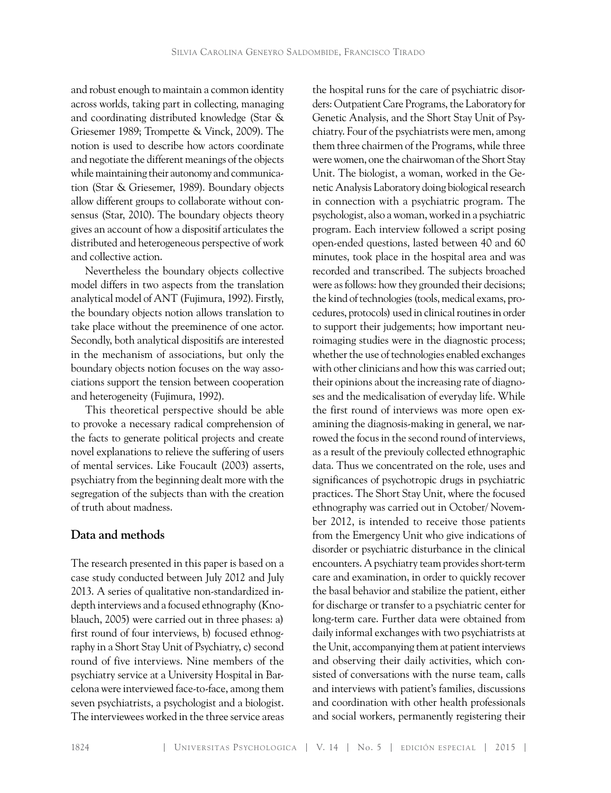and robust enough to maintain a common identity across worlds, taking part in collecting, managing and coordinating distributed knowledge (Star & Griesemer 1989; Trompette & Vinck, 2009). The notion is used to describe how actors coordinate and negotiate the different meanings of the objects while maintaining their autonomy and communication (Star & Griesemer, 1989). Boundary objects allow different groups to collaborate without consensus (Star, 2010). The boundary objects theory gives an account of how a dispositif articulates the distributed and heterogeneous perspective of work and collective action.

Nevertheless the boundary objects collective model differs in two aspects from the translation analytical model of ANT (Fujimura, 1992). Firstly, the boundary objects notion allows translation to take place without the preeminence of one actor. Secondly, both analytical dispositifs are interested in the mechanism of associations, but only the boundary objects notion focuses on the way associations support the tension between cooperation and heterogeneity (Fujimura, 1992).

This theoretical perspective should be able to provoke a necessary radical comprehension of the facts to generate political projects and create novel explanations to relieve the suffering of users of mental services. Like Foucault (2003) asserts, psychiatry from the beginning dealt more with the segregation of the subjects than with the creation of truth about madness.

### **Data and methods**

The research presented in this paper is based on a case study conducted between July 2012 and July 2013. A series of qualitative non-standardized indepth interviews and a focused ethnography (Knoblauch, 2005) were carried out in three phases: a) first round of four interviews, b) focused ethnography in a Short Stay Unit of Psychiatry, c) second round of five interviews. Nine members of the psychiatry service at a University Hospital in Barcelona were interviewed face-to-face, among them seven psychiatrists, a psychologist and a biologist. The interviewees worked in the three service areas

the hospital runs for the care of psychiatric disorders: Outpatient Care Programs, the Laboratory for Genetic Analysis, and the Short Stay Unit of Psychiatry. Four of the psychiatrists were men, among them three chairmen of the Programs, while three were women, one the chairwoman of the Short Stay Unit. The biologist, a woman, worked in the Genetic Analysis Laboratory doing biological research in connection with a psychiatric program. The psychologist, also a woman, worked in a psychiatric program. Each interview followed a script posing open-ended questions, lasted between 40 and 60 minutes, took place in the hospital area and was recorded and transcribed. The subjects broached were as follows: how they grounded their decisions; the kind of technologies (tools, medical exams, procedures, protocols) used in clinical routines in order to support their judgements; how important neuroimaging studies were in the diagnostic process; whether the use of technologies enabled exchanges with other clinicians and how this was carried out; their opinions about the increasing rate of diagnoses and the medicalisation of everyday life. While the first round of interviews was more open examining the diagnosis-making in general, we narrowed the focus in the second round of interviews, as a result of the previouly collected ethnographic data. Thus we concentrated on the role, uses and significances of psychotropic drugs in psychiatric practices. The Short Stay Unit, where the focused ethnography was carried out in October/ November 2012, is intended to receive those patients from the Emergency Unit who give indications of disorder or psychiatric disturbance in the clinical encounters. A psychiatry team provides short-term care and examination, in order to quickly recover the basal behavior and stabilize the patient, either for discharge or transfer to a psychiatric center for long-term care. Further data were obtained from daily informal exchanges with two psychiatrists at the Unit, accompanying them at patient interviews and observing their daily activities, which consisted of conversations with the nurse team, calls and interviews with patient's families, discussions and coordination with other health professionals and social workers, permanently registering their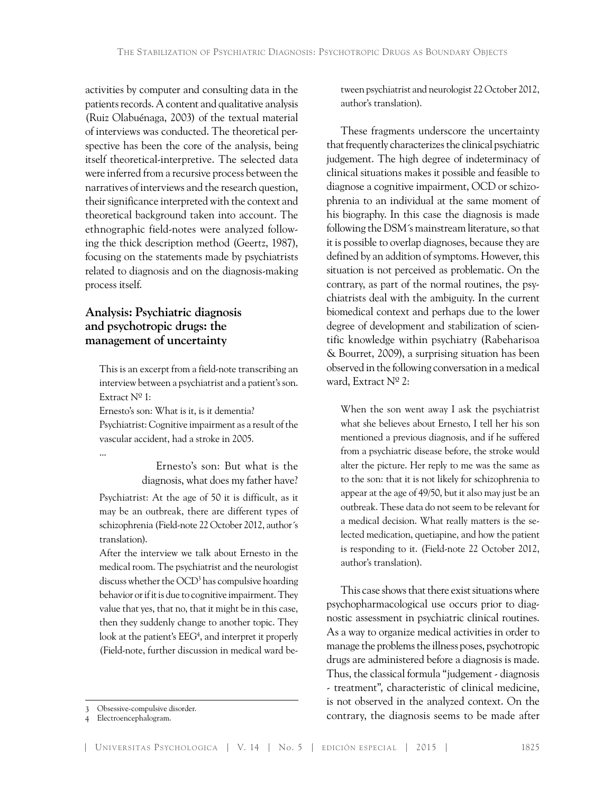activities by computer and consulting data in the patients records. A content and qualitative analysis (Ruiz Olabuénaga, 2003) of the textual material of interviews was conducted. The theoretical perspective has been the core of the analysis, being itself theoretical-interpretive. The selected data were inferred from a recursive process between the narratives of interviews and the research question, their significance interpreted with the context and theoretical background taken into account. The ethnographic field-notes were analyzed following the thick description method (Geertz, 1987), focusing on the statements made by psychiatrists related to diagnosis and on the diagnosis-making process itself.

# **Analysis: Psychiatric diagnosis and psychotropic drugs: the management of uncertainty**

This is an excerpt from a field-note transcribing an interview between a psychiatrist and a patient's son. Extract Nº 1:

Ernesto's son: What is it, is it dementia?

Psychiatrist: Cognitive impairment as a result of the vascular accident, had a stroke in 2005.

...

Ernesto's son: But what is the diagnosis, what does my father have?

Psychiatrist: At the age of 50 it is difficult, as it may be an outbreak, there are different types of schizophrenia (Field-note 22 October 2012, author´s translation).

After the interview we talk about Ernesto in the medical room. The psychiatrist and the neurologist discuss whether the OCD<sup>3</sup> has compulsive hoarding behavior or if it is due to cognitive impairment. They value that yes, that no, that it might be in this case, then they suddenly change to another topic. They look at the patient's EEG<sup>4</sup>, and interpret it properly (Field-note, further discussion in medical ward between psychiatrist and neurologist 22 October 2012, author's translation).

These fragments underscore the uncertainty that frequently characterizes the clinical psychiatric judgement. The high degree of indeterminacy of clinical situations makes it possible and feasible to diagnose a cognitive impairment, OCD or schizophrenia to an individual at the same moment of his biography. In this case the diagnosis is made following the DSM´s mainstream literature, so that it is possible to overlap diagnoses, because they are defined by an addition of symptoms. However, this situation is not perceived as problematic. On the contrary, as part of the normal routines, the psychiatrists deal with the ambiguity. In the current biomedical context and perhaps due to the lower degree of development and stabilization of scientific knowledge within psychiatry (Rabeharisoa & Bourret, 2009), a surprising situation has been observed in the following conversation in a medical ward, Extract  $N^{\circ}$  2:

When the son went away I ask the psychiatrist what she believes about Ernesto, I tell her his son mentioned a previous diagnosis, and if he suffered from a psychiatric disease before, the stroke would alter the picture. Her reply to me was the same as to the son: that it is not likely for schizophrenia to appear at the age of 49/50, but it also may just be an outbreak. These data do not seem to be relevant for a medical decision. What really matters is the selected medication, quetiapine, and how the patient is responding to it. (Field-note 22 October 2012, author's translation).

This case shows that there exist situations where psychopharmacological use occurs prior to diagnostic assessment in psychiatric clinical routines. As a way to organize medical activities in order to manage the problems the illness poses, psychotropic drugs are administered before a diagnosis is made. Thus, the classical formula "judgement - diagnosis - treatment", characteristic of clinical medicine, is not observed in the analyzed context. On the contrary, the diagnosis seems to be made after

<sup>3</sup> Obsessive-compulsive disorder.

<sup>4</sup> Electroencephalogram.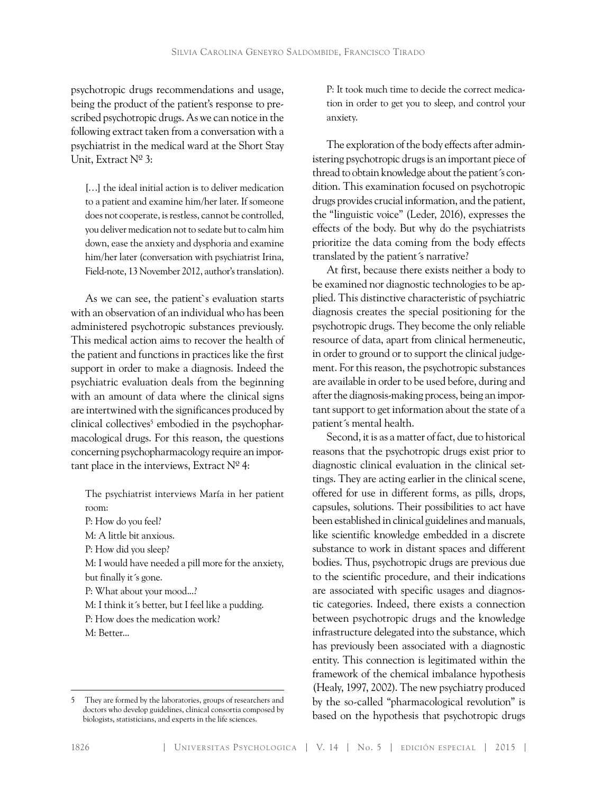psychotropic drugs recommendations and usage, being the product of the patient's response to prescribed psychotropic drugs. As we can notice in the following extract taken from a conversation with a psychiatrist in the medical ward at the Short Stay Unit, Extract Nº 3:

[...] the ideal initial action is to deliver medication to a patient and examine him/her later. If someone does not cooperate, is restless, cannot be controlled, you deliver medication not to sedate but to calm him down, ease the anxiety and dysphoria and examine him/her later (conversation with psychiatrist Irina, Field-note, 13 November 2012, author's translation).

As we can see, the patient`s evaluation starts with an observation of an individual who has been administered psychotropic substances previously. This medical action aims to recover the health of the patient and functions in practices like the first support in order to make a diagnosis. Indeed the psychiatric evaluation deals from the beginning with an amount of data where the clinical signs are intertwined with the significances produced by clinical collectives<sup>5</sup> embodied in the psychopharmacological drugs. For this reason, the questions concerning psychopharmacology require an important place in the interviews, Extract  $N^{\circ}$  4:

The psychiatrist interviews María in her patient room: P: How do you feel? M: A little bit anxious. P: How did you sleep?

M: I would have needed a pill more for the anxiety, but finally it´s gone. P: What about your mood...?

M: I think it´s better, but I feel like a pudding. P: How does the medication work? M: Better...

P: It took much time to decide the correct medication in order to get you to sleep, and control your anxiety.

The exploration of the body effects after administering psychotropic drugs is an important piece of thread to obtain knowledge about the patient´s condition. This examination focused on psychotropic drugs provides crucial information, and the patient, the "linguistic voice" (Leder, 2016), expresses the effects of the body. But why do the psychiatrists prioritize the data coming from the body effects translated by the patient´s narrative?

At first, because there exists neither a body to be examined nor diagnostic technologies to be applied. This distinctive characteristic of psychiatric diagnosis creates the special positioning for the psychotropic drugs. They become the only reliable resource of data, apart from clinical hermeneutic, in order to ground or to support the clinical judgement. For this reason, the psychotropic substances are available in order to be used before, during and after the diagnosis-making process, being an important support to get information about the state of a patient´s mental health.

Second, it is as a matter of fact, due to historical reasons that the psychotropic drugs exist prior to diagnostic clinical evaluation in the clinical settings. They are acting earlier in the clinical scene, offered for use in different forms, as pills, drops, capsules, solutions. Their possibilities to act have been established in clinical guidelines and manuals, like scientific knowledge embedded in a discrete substance to work in distant spaces and different bodies. Thus, psychotropic drugs are previous due to the scientific procedure, and their indications are associated with specific usages and diagnostic categories. Indeed, there exists a connection between psychotropic drugs and the knowledge infrastructure delegated into the substance, which has previously been associated with a diagnostic entity. This connection is legitimated within the framework of the chemical imbalance hypothesis (Healy, 1997, 2002). The new psychiatry produced by the so-called "pharmacological revolution" is based on the hypothesis that psychotropic drugs

<sup>5</sup> They are formed by the laboratories, groups of researchers and doctors who develop guidelines, clinical consortia composed by biologists, statisticians, and experts in the life sciences.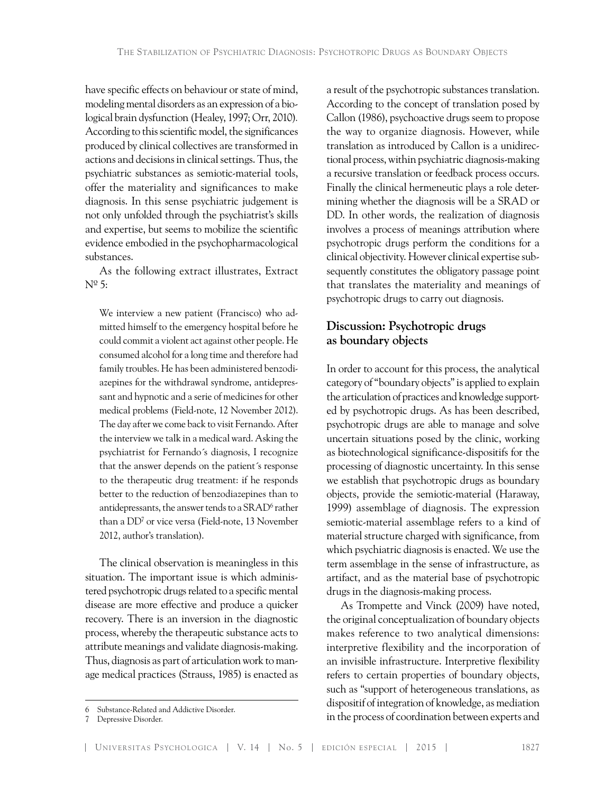have specific effects on behaviour or state of mind, modeling mental disorders as an expression of a biological brain dysfunction (Healey, 1997; Orr, 2010)*.* According to this scientific model, the significances produced by clinical collectives are transformed in actions and decisions in clinical settings. Thus, the psychiatric substances as semiotic-material tools, offer the materiality and significances to make diagnosis. In this sense psychiatric judgement is not only unfolded through the psychiatrist's skills and expertise, but seems to mobilize the scientific evidence embodied in the psychopharmacological substances.

As the following extract illustrates, Extract  $N^{\circ}$  5:

We interview a new patient (Francisco) who admitted himself to the emergency hospital before he could commit a violent act against other people. He consumed alcohol for a long time and therefore had family troubles. He has been administered benzodiazepines for the withdrawal syndrome, antidepressant and hypnotic and a serie of medicines for other medical problems (Field-note, 12 November 2012). The day after we come back to visit Fernando. After the interview we talk in a medical ward. Asking the psychiatrist for Fernando´s diagnosis, I recognize that the answer depends on the patient´s response to the therapeutic drug treatment: if he responds better to the reduction of benzodiazepines than to antidepressants, the answer tends to a SRAD<sup>6</sup> rather than a DD<sup>7</sup> or vice versa (Field-note, 13 November 2012, author's translation).

The clinical observation is meaningless in this situation. The important issue is which administered psychotropic drugs related to a specific mental disease are more effective and produce a quicker recovery. There is an inversion in the diagnostic process, whereby the therapeutic substance acts to attribute meanings and validate diagnosis-making. Thus, diagnosis as part of articulation work to manage medical practices (Strauss, 1985) is enacted as a result of the psychotropic substances translation. According to the concept of translation posed by Callon (1986), psychoactive drugs seem to propose the way to organize diagnosis. However, while translation as introduced by Callon is a unidirectional process, within psychiatric diagnosis-making a recursive translation or feedback process occurs. Finally the clinical hermeneutic plays a role determining whether the diagnosis will be a SRAD or DD. In other words, the realization of diagnosis involves a process of meanings attribution where psychotropic drugs perform the conditions for a clinical objectivity. However clinical expertise subsequently constitutes the obligatory passage point that translates the materiality and meanings of psychotropic drugs to carry out diagnosis.

# **Discussion: Psychotropic drugs as boundary objects**

In order to account for this process, the analytical category of "boundary objects" is applied to explain the articulation of practices and knowledge supported by psychotropic drugs. As has been described, psychotropic drugs are able to manage and solve uncertain situations posed by the clinic, working as biotechnological significance-dispositifs for the processing of diagnostic uncertainty. In this sense we establish that psychotropic drugs as boundary objects, provide the semiotic-material (Haraway, 1999) assemblage of diagnosis. The expression semiotic-material assemblage refers to a kind of material structure charged with significance, from which psychiatric diagnosis is enacted. We use the term assemblage in the sense of infrastructure, as artifact, and as the material base of psychotropic drugs in the diagnosis-making process.

As Trompette and Vinck (2009) have noted, the original conceptualization of boundary objects makes reference to two analytical dimensions: interpretive flexibility and the incorporation of an invisible infrastructure. Interpretive flexibility refers to certain properties of boundary objects, such as "support of heterogeneous translations, as dispositif of integration of knowledge, as mediation in the process of coordination between experts and

<sup>6</sup> Substance-Related and Addictive Disorder.

<sup>7</sup> Depressive Disorder.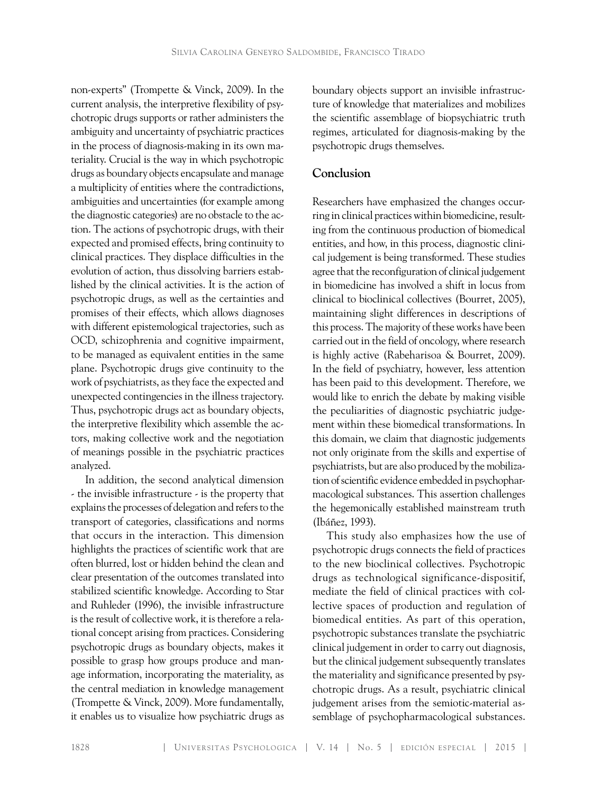non-experts" (Trompette & Vinck, 2009). In the current analysis, the interpretive flexibility of psychotropic drugs supports or rather administers the ambiguity and uncertainty of psychiatric practices in the process of diagnosis-making in its own materiality. Crucial is the way in which psychotropic drugs as boundary objects encapsulate and manage a multiplicity of entities where the contradictions, ambiguities and uncertainties (for example among the diagnostic categories) are no obstacle to the action. The actions of psychotropic drugs, with their expected and promised effects, bring continuity to clinical practices. They displace difficulties in the evolution of action, thus dissolving barriers established by the clinical activities. It is the action of psychotropic drugs, as well as the certainties and promises of their effects, which allows diagnoses with different epistemological trajectories, such as OCD, schizophrenia and cognitive impairment, to be managed as equivalent entities in the same plane. Psychotropic drugs give continuity to the work of psychiatrists, as they face the expected and unexpected contingencies in the illness trajectory. Thus, psychotropic drugs act as boundary objects, the interpretive flexibility which assemble the actors, making collective work and the negotiation of meanings possible in the psychiatric practices analyzed.

In addition, the second analytical dimension - the invisible infrastructure - is the property that explains the processes of delegation and refers to the transport of categories, classifications and norms that occurs in the interaction. This dimension highlights the practices of scientific work that are often blurred, lost or hidden behind the clean and clear presentation of the outcomes translated into stabilized scientific knowledge. According to Star and Ruhleder (1996), the invisible infrastructure is the result of collective work, it is therefore a relational concept arising from practices. Considering psychotropic drugs as boundary objects, makes it possible to grasp how groups produce and manage information, incorporating the materiality, as the central mediation in knowledge management (Trompette & Vinck, 2009). More fundamentally, it enables us to visualize how psychiatric drugs as

boundary objects support an invisible infrastructure of knowledge that materializes and mobilizes the scientific assemblage of biopsychiatric truth regimes, articulated for diagnosis-making by the psychotropic drugs themselves.

## **Conclusion**

Researchers have emphasized the changes occurring in clinical practices within biomedicine, resulting from the continuous production of biomedical entities, and how, in this process, diagnostic clinical judgement is being transformed. These studies agree that the reconfiguration of clinical judgement in biomedicine has involved a shift in locus from clinical to bioclinical collectives (Bourret, 2005), maintaining slight differences in descriptions of this process. The majority of these works have been carried out in the field of oncology, where research is highly active (Rabeharisoa & Bourret, 2009). In the field of psychiatry, however, less attention has been paid to this development. Therefore, we would like to enrich the debate by making visible the peculiarities of diagnostic psychiatric judgement within these biomedical transformations. In this domain, we claim that diagnostic judgements not only originate from the skills and expertise of psychiatrists, but are also produced by the mobilization of scientific evidence embedded in psychopharmacological substances. This assertion challenges the hegemonically established mainstream truth (Ibáñez, 1993).

This study also emphasizes how the use of psychotropic drugs connects the field of practices to the new bioclinical collectives. Psychotropic drugs as technological significance-dispositif, mediate the field of clinical practices with collective spaces of production and regulation of biomedical entities. As part of this operation, psychotropic substances translate the psychiatric clinical judgement in order to carry out diagnosis, but the clinical judgement subsequently translates the materiality and significance presented by psychotropic drugs. As a result, psychiatric clinical judgement arises from the semiotic-material assemblage of psychopharmacological substances.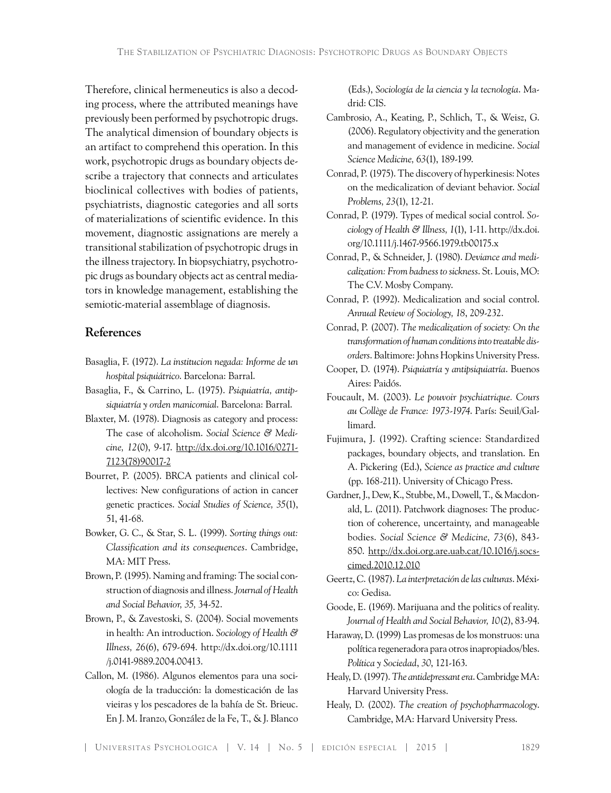Therefore, clinical hermeneutics is also a decoding process, where the attributed meanings have previously been performed by psychotropic drugs. The analytical dimension of boundary objects is an artifact to comprehend this operation. In this work, psychotropic drugs as boundary objects describe a trajectory that connects and articulates bioclinical collectives with bodies of patients, psychiatrists, diagnostic categories and all sorts of materializations of scientific evidence. In this movement, diagnostic assignations are merely a transitional stabilization of psychotropic drugs in the illness trajectory. In biopsychiatry, psychotropic drugs as boundary objects act as central mediators in knowledge management, establishing the semiotic-material assemblage of diagnosis.

# **References**

- Basaglia, F. (1972). *La institucion negada: Informe de un hospital psiquiátrico*. Barcelona: Barral.
- Basaglia, F., & Carrino, L. (1975). *Psiquiatría, antipsiquiatría y orden manicomial*. Barcelona: Barral.
- Blaxter, M. (1978). Diagnosis as category and process: The case of alcoholism. *Social Science & Medicine, 12*(0), 9-17. [http://dx.doi.org/10.1016/0271-](http://dx.doi.org/10.1016/0271-7123(78)90017-2) [7123\(78\)90017-2](http://dx.doi.org/10.1016/0271-7123(78)90017-2)
- Bourret, P. (2005). BRCA patients and clinical collectives: New configurations of action in cancer genetic practices. *Social Studies of Science, 35*(1), 51, 41-68.
- Bowker, G. C., & Star, S. L. (1999). *Sorting things out: Classification and its consequences*. Cambridge, MA: MIT Press.
- Brown, P. (1995). Naming and framing: The social construction of diagnosis and illness. *Journal of Health and Social Behavior, 35,* 34-52.
- Brown, P., & Zavestoski, S. (2004). Social movements in health: An introduction. *Sociology of Health & Illness, 26*(6), 679-694. http://dx.doi.org/10.1111 /j.0141-9889.2004.00413.
- Callon, M. (1986). Algunos elementos para una sociología de la traducción: la domesticación de las vieiras y los pescadores de la bahía de St. Brieuc. En J. M. Iranzo, González de la Fe, T., & J. Blanco

(Eds.), *Sociología de la ciencia y la tecnología*. Madrid: CIS.

- Cambrosio, A., Keating, P., Schlich, T., & Weisz, G. (2006). Regulatory objectivity and the generation and management of evidence in medicine. *Social Science Medicine, 63*(1), 189-199.
- Conrad, P. (1975). The discovery of hyperkinesis: Notes on the medicalization of deviant behavior. *Social Problems, 23*(1), 12-21.
- Conrad, P. (1979). Types of medical social control. *Sociology of Health & Illness, 1*(1), 1-11. http://dx.doi. org/10.1111/j.1467-9566.1979.tb00175.x
- Conrad, P., & Schneider, J. (1980). *Deviance and medicalization: From badness to sickness*. St. Louis, MO: The C.V. Mosby Company.
- Conrad, P. (1992). Medicalization and social control. *Annual Review of Sociology, 18*, 209-232.
- Conrad, P. (2007). *The medicalization of society: On the transformation of human conditions into treatable disorders*. Baltimore: Johns Hopkins University Press.
- Cooper, D. (1974). *Psiquiatría y antipsiquiatría*. Buenos Aires: Paidós.
- Foucault, M. (2003). *Le pouvoir psychiatrique. Cours au Collège de France: 1973-1974*. París: Seuil/Gallimard.
- Fujimura, J. (1992). Crafting science: Standardized packages, boundary objects, and translation. En A. Pickering (Ed.), *Science as practice and culture* (pp. 168-211). University of Chicago Press.
- Gardner, J., Dew, K., Stubbe, M., Dowell, T., & Macdonald, L. (2011). Patchwork diagnoses: The production of coherence, uncertainty, and manageable bodies. *Social Science & Medicine, 73*(6), 843- 850. [http://dx.doi.org.are.uab.cat/10.1016/j.socs](http://dx.doi.org.are.uab.cat/10.1016/j.socscimed.2010.12.010)[cimed.2010.12.010](http://dx.doi.org.are.uab.cat/10.1016/j.socscimed.2010.12.010)
- Geertz, C. (1987). *La interpretación de las culturas*. México: Gedisa.
- Goode, E. (1969). Marijuana and the politics of reality. *Journal of Health and Social Behavior, 10*(2), 83-94.
- Haraway, D. (1999) Las promesas de los monstruos: una política regeneradora para otros inapropiados/bles. *Política y Sociedad*, *30*, 121-163.
- Healy, D. (1997). *The antidepressant era*. Cambridge MA: Harvard University Press.
- Healy, D. (2002). *The creation of psychopharmacology*. Cambridge, MA: Harvard University Press.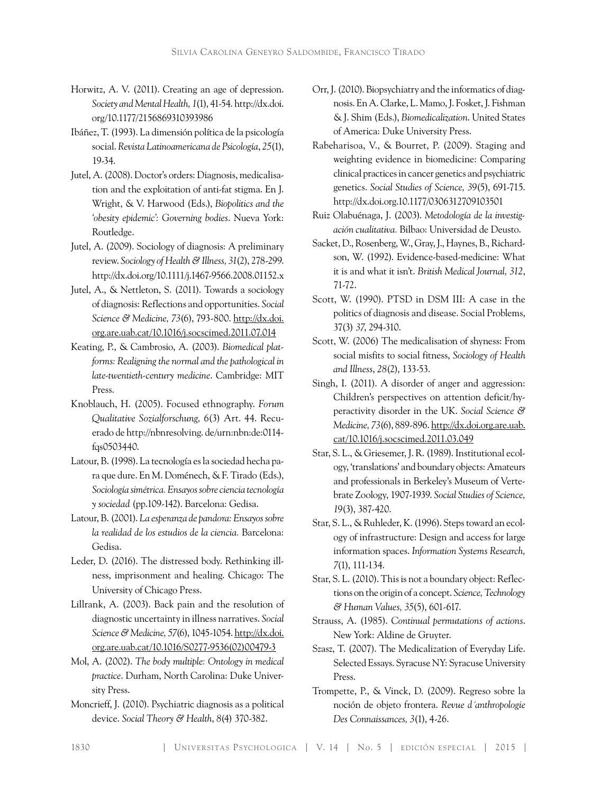- Horwitz, A. V. (2011). Creating an age of depression. *Society and Mental Health, 1*(1), 41-54. http://dx.doi. org/10.1177/2156869310393986
- Ibáñez, T. (1993). La dimensión política de la psicología social. *Revista Latinoamericana de Psicología*, *25*(1), 19-34.
- Jutel, A. (2008). Doctor's orders: Diagnosis, medicalisation and the exploitation of anti-fat stigma. En J. Wright, & V. Harwood (Eds.), *Biopolitics and the 'obesity epidemic': Governing bodies*. Nueva York: Routledge.
- Jutel, A. (2009). Sociology of diagnosis: A preliminary review. *Sociology of Health & Illness, 31*(2), 278-299. http://dx.doi.org/10.1111/j.1467-9566.2008.01152.x
- Jutel, A., & Nettleton, S. (2011). Towards a sociology of diagnosis: Reflections and opportunities. *Social Science & Medicine, 73*(6), 793-800. [http://dx.doi.](http://dx.doi.org.are.uab.cat/10.1016/j.socscimed.2011.07.014) [org.are.uab.cat/10.1016/j.socscimed.2011.07.014](http://dx.doi.org.are.uab.cat/10.1016/j.socscimed.2011.07.014)
- Keating, P., & Cambrosio, A. (2003). *Biomedical platforms: Realigning the normal and the pathological in late-twentieth-century medicine*. Cambridge: MIT Press.
- Knoblauch, H. (2005). Focused ethnography. *Forum Qualitative Sozialforschung, 6*(3) Art. 44. Recuerado de http://nbnresolving. de/urn:nbn:de:0114 fqs0503440.
- Latour, B. (1998). La tecnología es la sociedad hecha para que dure. En M. Doménech, & F. Tirado (Eds.), *Sociología simétrica. Ensayos sobre ciencia tecnología y sociedad* (pp.109-142). Barcelona: Gedisa.
- Latour, B. (2001). *La esperanza de pandora: Ensayos sobre la realidad de los estudios de la ciencia.* Barcelona: Gedisa.
- Leder, D. (2016). The distressed body. Rethinking illness, imprisonment and healing. Chicago: The University of Chicago Press.
- Lillrank, A. (2003). Back pain and the resolution of diagnostic uncertainty in illness narratives. *Social Science & Medicine, 57*(6), 1045-1054. [http://dx.doi.](http://dx.doi.org.are.uab.cat/10.1016/S0277-9536(02)00479-3) [org.are.uab.cat/10.1016/S0277-9536\(02\)00479-3](http://dx.doi.org.are.uab.cat/10.1016/S0277-9536(02)00479-3)
- Mol, A. (2002). *The body multiple: Ontology in medical practice*. Durham, North Carolina: Duke University Press.
- Moncrieff, J. (2010). Psychiatric diagnosis as a political device. *Social Theory & Health*, *8*(4) 370-382.
- Orr, J. (2010). Biopsychiatry and the informatics of diagnosis. En A. Clarke, L. Mamo, J. Fosket, J. Fishman & J. Shim (Eds.), *Biomedicalization*. United States of America: Duke University Press.
- Rabeharisoa, V., & Bourret, P. (2009). Staging and weighting evidence in biomedicine: Comparing clinical practices in cancer genetics and psychiatric genetics. *Social Studies of Science, 39*(5), 691-715. http://dx.doi.org.10.1177/0306312709103501
- Ruiz Olabuénaga, J. (2003). *Metodología de la investigación cualitativa.* Bilbao: Universidad de Deusto.
- Sacket, D., Rosenberg, W., Gray, J., Haynes, B., Richardson, W. (1992). Evidence-based-medicine: What it is and what it isn't. *British Medical Journal, 312*, 71-72.
- Scott, W. (1990). PTSD in DSM III: A case in the politics of diagnosis and disease. Social Problems, 37(3) *37*, 294-310.
- Scott, W. (2006) The medicalisation of shyness: From social misfits to social fitness, *Sociology of Health and Illness*, *28*(2), 133-53.
- Singh, I. (2011). A disorder of anger and aggression: Children's perspectives on attention deficit/hyperactivity disorder in the UK. *Social Science & Medicine, 73*(6), 889-896. [http://dx.doi.org.are.uab.](http://dx.doi.org.are.uab.cat/10.1016/j.socscimed.2011.03.049) [cat/10.1016/j.socscimed.2011.03.049](http://dx.doi.org.are.uab.cat/10.1016/j.socscimed.2011.03.049)
- Star, S. L., & Griesemer, J. R. (1989). Institutional ecology, 'translations' and boundary objects: Amateurs and professionals in Berkeley's Museum of Vertebrate Zoology, 1907-1939. *Social Studies of Science, 19*(3), 387-420.
- Star, S. L., & Ruhleder, K. (1996). Steps toward an ecology of infrastructure: Design and access for large information spaces. *Information Systems Research, 7*(1), 111-134.
- Star, S. L. (2010). This is not a boundary object: Reflections on the origin of a concept. *Science, Technology & Human Values, 35*(5), 601-617.
- Strauss, A. (1985). *Continual permutations of actions*. New York: Aldine de Gruyter.
- Szasz, T. (2007). The Medicalization of Everyday Life. Selected Essays. Syracuse NY: Syracuse University Press.
- Trompette, P., & Vinck, D. (2009). Regreso sobre la noción de objeto frontera. *Revue d´anthropologie Des Connaissances, 3*(1), 4-26.